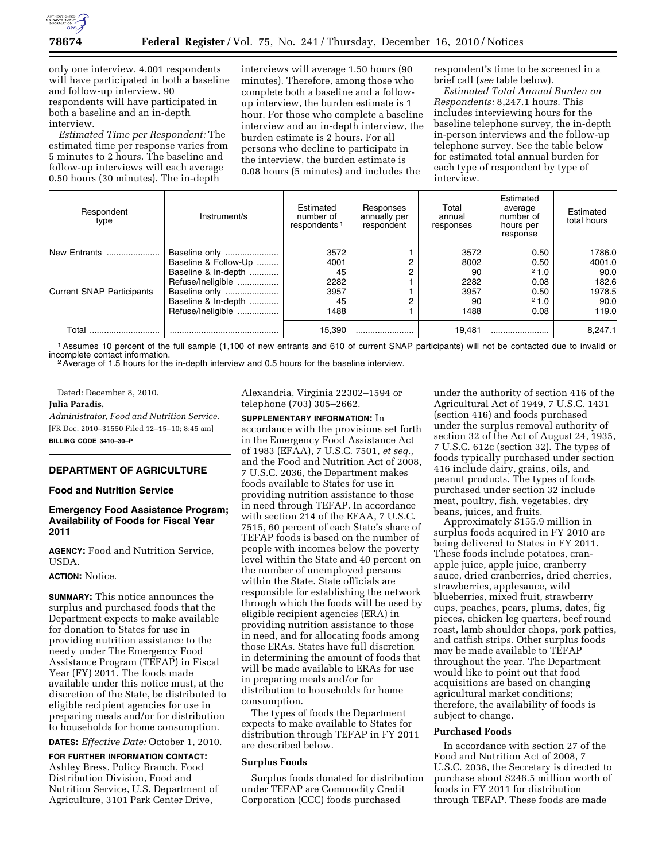

only one interview. 4,001 respondents will have participated in both a baseline and follow-up interview. 90 respondents will have participated in both a baseline and an in-depth interview.

*Estimated Time per Respondent:* The estimated time per response varies from 5 minutes to 2 hours. The baseline and follow-up interviews will each average 0.50 hours (30 minutes). The in-depth

interviews will average 1.50 hours (90 minutes). Therefore, among those who complete both a baseline and a followup interview, the burden estimate is 1 hour. For those who complete a baseline interview and an in-depth interview, the burden estimate is 2 hours. For all persons who decline to participate in the interview, the burden estimate is 0.08 hours (5 minutes) and includes the

respondent's time to be screened in a brief call (*see* table below).

*Estimated Total Annual Burden on Respondents:* 8,247.1 hours. This includes interviewing hours for the baseline telephone survey, the in-depth in-person interviews and the follow-up telephone survey. See the table below for estimated total annual burden for each type of respondent by type of interview.

| Respondent<br>type               | Instrument/s         | Estimated<br>number of<br>respondents <sup>1</sup> | Responses<br>annually per<br>respondent | Total<br>annual<br>responses | Estimated<br>average<br>number of<br>hours per<br>response | Estimated<br>total hours |
|----------------------------------|----------------------|----------------------------------------------------|-----------------------------------------|------------------------------|------------------------------------------------------------|--------------------------|
| New Entrants                     | Baseline only        | 3572                                               |                                         | 3572                         | 0.50                                                       | 1786.0                   |
|                                  | Baseline & Follow-Up | 4001                                               |                                         | 8002                         | 0.50                                                       | 4001.0                   |
|                                  | Baseline & In-depth  | 45                                                 |                                         | 90                           | 21.0                                                       | 90.0                     |
|                                  | Refuse/Ineligible    | 2282                                               |                                         | 2282                         | 0.08                                                       | 182.6                    |
| <b>Current SNAP Participants</b> | Baseline only        | 3957                                               |                                         | 3957                         | 0.50                                                       | 1978.5                   |
|                                  | Baseline & In-depth  | 45                                                 |                                         | 90                           | 21.0                                                       | 90.0                     |
|                                  | Refuse/Ineligible    | 1488                                               |                                         | 1488                         | 0.08                                                       | 119.0                    |
| Total                            |                      | 15.390                                             |                                         | 19.481                       |                                                            | 8,247.1                  |

<sup>1</sup> Assumes 10 percent of the full sample (1,100 of new entrants and 610 of current SNAP participants) will not be contacted due to invalid or incomplete contact information.

<sup>2</sup> Average of 1.5 hours for the in-depth interview and 0.5 hours for the baseline interview.

Dated: December 8, 2010.

**Julia Paradis,** 

*Administrator, Food and Nutrition Service.*  [FR Doc. 2010–31550 Filed 12–15–10; 8:45 am] **BILLING CODE 3410–30–P** 

# **DEPARTMENT OF AGRICULTURE**

#### **Food and Nutrition Service**

## **Emergency Food Assistance Program; Availability of Foods for Fiscal Year 2011**

**AGENCY:** Food and Nutrition Service, USDA.

#### **ACTION:** Notice.

**SUMMARY:** This notice announces the surplus and purchased foods that the Department expects to make available for donation to States for use in providing nutrition assistance to the needy under The Emergency Food Assistance Program (TEFAP) in Fiscal Year (FY) 2011. The foods made available under this notice must, at the discretion of the State, be distributed to eligible recipient agencies for use in preparing meals and/or for distribution to households for home consumption.

**DATES:** *Effective Date:* October 1, 2010.

**FOR FURTHER INFORMATION CONTACT:**  Ashley Bress, Policy Branch, Food Distribution Division, Food and Nutrition Service, U.S. Department of Agriculture, 3101 Park Center Drive,

Alexandria, Virginia 22302–1594 or telephone (703) 305–2662.

#### **SUPPLEMENTARY INFORMATION:** In

accordance with the provisions set forth in the Emergency Food Assistance Act of 1983 (EFAA), 7 U.S.C. 7501, *et seq.,*  and the Food and Nutrition Act of 2008, 7 U.S.C. 2036, the Department makes foods available to States for use in providing nutrition assistance to those in need through TEFAP. In accordance with section 214 of the EFAA, 7 U.S.C. 7515, 60 percent of each State's share of TEFAP foods is based on the number of people with incomes below the poverty level within the State and 40 percent on the number of unemployed persons within the State. State officials are responsible for establishing the network through which the foods will be used by eligible recipient agencies (ERA) in providing nutrition assistance to those in need, and for allocating foods among those ERAs. States have full discretion in determining the amount of foods that will be made available to ERAs for use in preparing meals and/or for distribution to households for home consumption.

The types of foods the Department expects to make available to States for distribution through TEFAP in FY 2011 are described below.

#### **Surplus Foods**

Surplus foods donated for distribution under TEFAP are Commodity Credit Corporation (CCC) foods purchased

under the authority of section 416 of the Agricultural Act of 1949, 7 U.S.C. 1431 (section 416) and foods purchased under the surplus removal authority of section 32 of the Act of August 24, 1935, 7 U.S.C. 612c (section 32). The types of foods typically purchased under section 416 include dairy, grains, oils, and peanut products. The types of foods purchased under section 32 include meat, poultry, fish, vegetables, dry beans, juices, and fruits.

Approximately \$155.9 million in surplus foods acquired in FY 2010 are being delivered to States in FY 2011. These foods include potatoes, cranapple juice, apple juice, cranberry sauce, dried cranberries, dried cherries, strawberries, applesauce, wild blueberries, mixed fruit, strawberry cups, peaches, pears, plums, dates, fig pieces, chicken leg quarters, beef round roast, lamb shoulder chops, pork patties, and catfish strips. Other surplus foods may be made available to TEFAP throughout the year. The Department would like to point out that food acquisitions are based on changing agricultural market conditions; therefore, the availability of foods is subject to change.

#### **Purchased Foods**

In accordance with section 27 of the Food and Nutrition Act of 2008, 7 U.S.C. 2036, the Secretary is directed to purchase about \$246.5 million worth of foods in FY 2011 for distribution through TEFAP. These foods are made